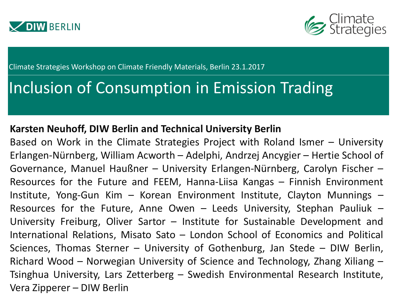



Climate Strategies Workshop on Climate Friendly Materials, Berlin 23.1.2017

# Inclusion of Consumption in Emission Trading

#### **Karsten Neuhoff, DIW Berlin and Technical University Berlin**

Based on Work in the Climate Strategies Project with Roland Ismer – University Erlangen-Nürnberg, William Acworth – Adelphi, Andrzej Ancygier – Hertie School of Governance, Manuel Haußner – University Erlangen-Nürnberg, Carolyn Fischer – Resources for the Future and FEEM, Hanna-Liisa Kangas – Finnish Environment Institute, Yong-Gun Kim – Korean Environment Institute, Clayton Munnings – Resources for the Future, Anne Owen – Leeds University, Stephan Pauliuk – University Freiburg, Oliver Sartor – Institute for Sustainable Development and International Relations, Misato Sato – London School of Economics and Political Sciences, Thomas Sterner – University of Gothenburg, Jan Stede – DIW Berlin, Richard Wood – Norwegian University of Science and Technology, Zhang Xiliang – Tsinghua University, Lars Zetterberg – Swedish Environmental Research Institute, Vera Zipperer – DIW Berlin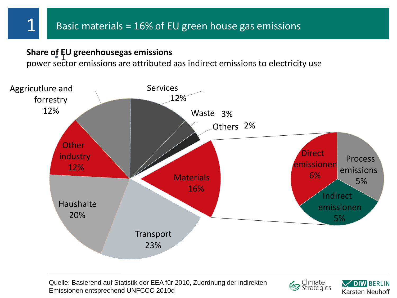#### • 1 **Share of EU greenhousegas emissions**

power sector emissions are attributed aas indirect emissions to electricity use



Quelle: Basierend auf Statistik der EEA für 2010, Zuordnung der indirekten Emissionen entsprechend UNFCCC 2010d Karsten Neuhoff



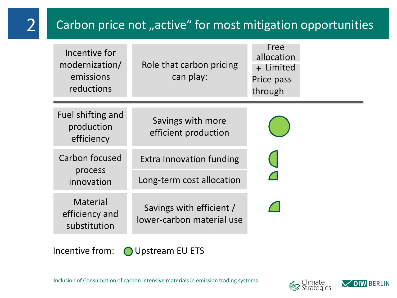## Carbon price not "active" for most mitigation opportunities

| Incentive for<br>modernization/<br>emissions<br>reductions | Role that carbon pricing<br>can play:                 | Free<br>allocation<br>+ Limited<br>Price pass<br>through |  |  |
|------------------------------------------------------------|-------------------------------------------------------|----------------------------------------------------------|--|--|
| Fuel shifting and<br>production<br>efficiency              | Savings with more<br>efficient production             |                                                          |  |  |
| Carbon focused<br>process<br>innovation                    | Extra Innovation funding                              |                                                          |  |  |
|                                                            | Long-term cost allocation                             |                                                          |  |  |
| <b>Material</b><br>efficiency and<br>substitution          | Savings with efficient /<br>lower-carbon material use |                                                          |  |  |

2

Incentive from: O Upstream EU ETS



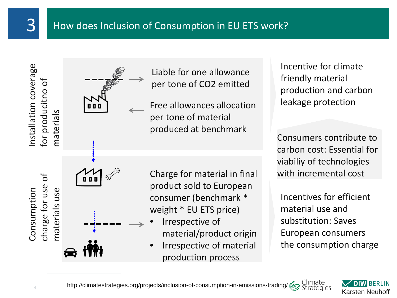

Incentive for climate friendly material production and carbon leakage protection

Consumers contribute to carbon cost: Essential for viabiliy of technologies with incremental cost

Incentives for efficient material use and substitution: Saves European consumers the consumption charge

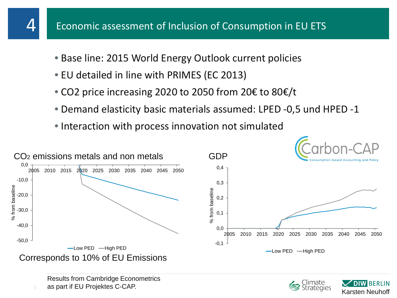- Base line: 2015 World Energy Outlook current policies
- EU detailed in line with PRIMES (EC 2013)
- CO2 price increasing 2020 to 2050 from 20€ to 80€/t
- Demand elasticity basic materials assumed: LPED -0,5 und HPED -1
- Interaction with process innovation not simulated





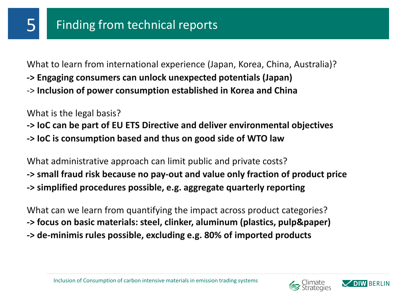What to learn from international experience (Japan, Korea, China, Australia)? **-> Engaging consumers can unlock unexpected potentials (Japan)** -> **Inclusion of power consumption established in Korea and China**

What is the legal basis?

**-> IoC can be part of EU ETS Directive and deliver environmental objectives -> IoC is consumption based and thus on good side of WTO law**

What administrative approach can limit public and private costs? **-> small fraud risk because no pay-out and value only fraction of product price -> simplified procedures possible, e.g. aggregate quarterly reporting**

What can we learn from quantifying the impact across product categories? **-> focus on basic materials: steel, clinker, aluminum (plastics, pulp&paper) -> de-minimis rules possible, excluding e.g. 80% of imported products**



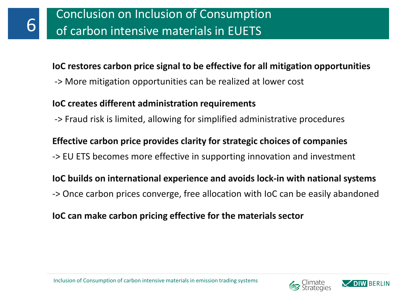#### **IoC restores carbon price signal to be effective for all mitigation opportunities**

-> More mitigation opportunities can be realized at lower cost

#### **IoC creates different administration requirements**

-> Fraud risk is limited, allowing for simplified administrative procedures

### **Effective carbon price provides clarity for strategic choices of companies**

-> EU ETS becomes more effective in supporting innovation and investment

**IoC builds on international experience and avoids lock-in with national systems**

-> Once carbon prices converge, free allocation with IoC can be easily abandoned

#### **IoC can make carbon pricing effective for the materials sector**



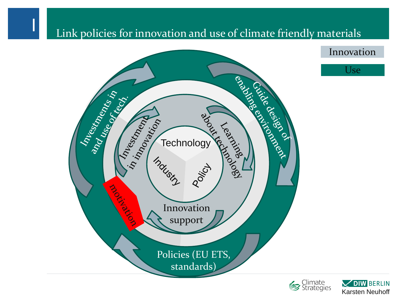## Link policies for innovation and use of climate friendly materials







Innovation

Use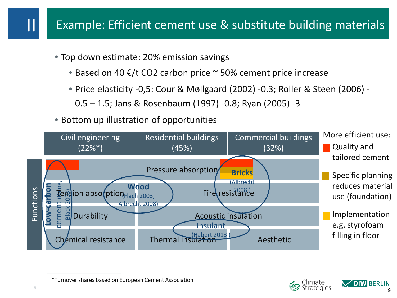- Top down estimate: 20% emission savings
	- Based on 40  $\epsilon$ /t CO2 carbon price  $\sim$  50% cement price increase
	- Price elasticity -0,5: Cour & Møllgaard (2002) -0.3; Roller & Steen (2006)
		- 0.5 1.5; Jans & Rosenbaum (1997) -0.8; Ryan (2005) -3
- Bottom up illustration of opportunities





II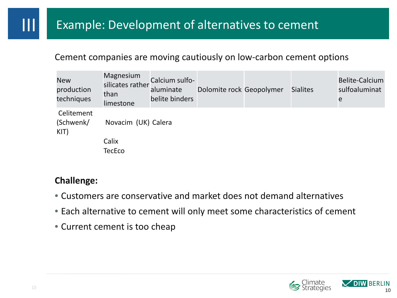#### Cement companies are moving cautiously on low-carbon cement options

| <b>New</b><br>production<br>techniques | Magnesium<br>silicates rather<br>than<br>limestone | Calcium sulfo-<br>aluminate<br>belite binders | Dolomite rock Geopolymer | <b>Sialites</b> | <b>Belite-Calcium</b><br>sulfoaluminat<br>e |
|----------------------------------------|----------------------------------------------------|-----------------------------------------------|--------------------------|-----------------|---------------------------------------------|
| Celitement<br>(Schwenk/<br>KIT)        | Novacim (UK) Calera                                |                                               |                          |                 |                                             |
|                                        | Calix                                              |                                               |                          |                 |                                             |
|                                        | <b>TecEco</b>                                      |                                               |                          |                 |                                             |

#### **Challenge:**

- Customers are conservative and market does not demand alternatives
- Each alternative to cement will only meet some characteristics of cement
- Current cement is too cheap



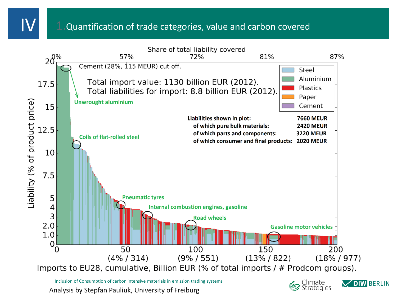#### 1.Quantification of trade categories, value and carbon covered



Analysis by Stepfan Pauliuk, University of Freiburg